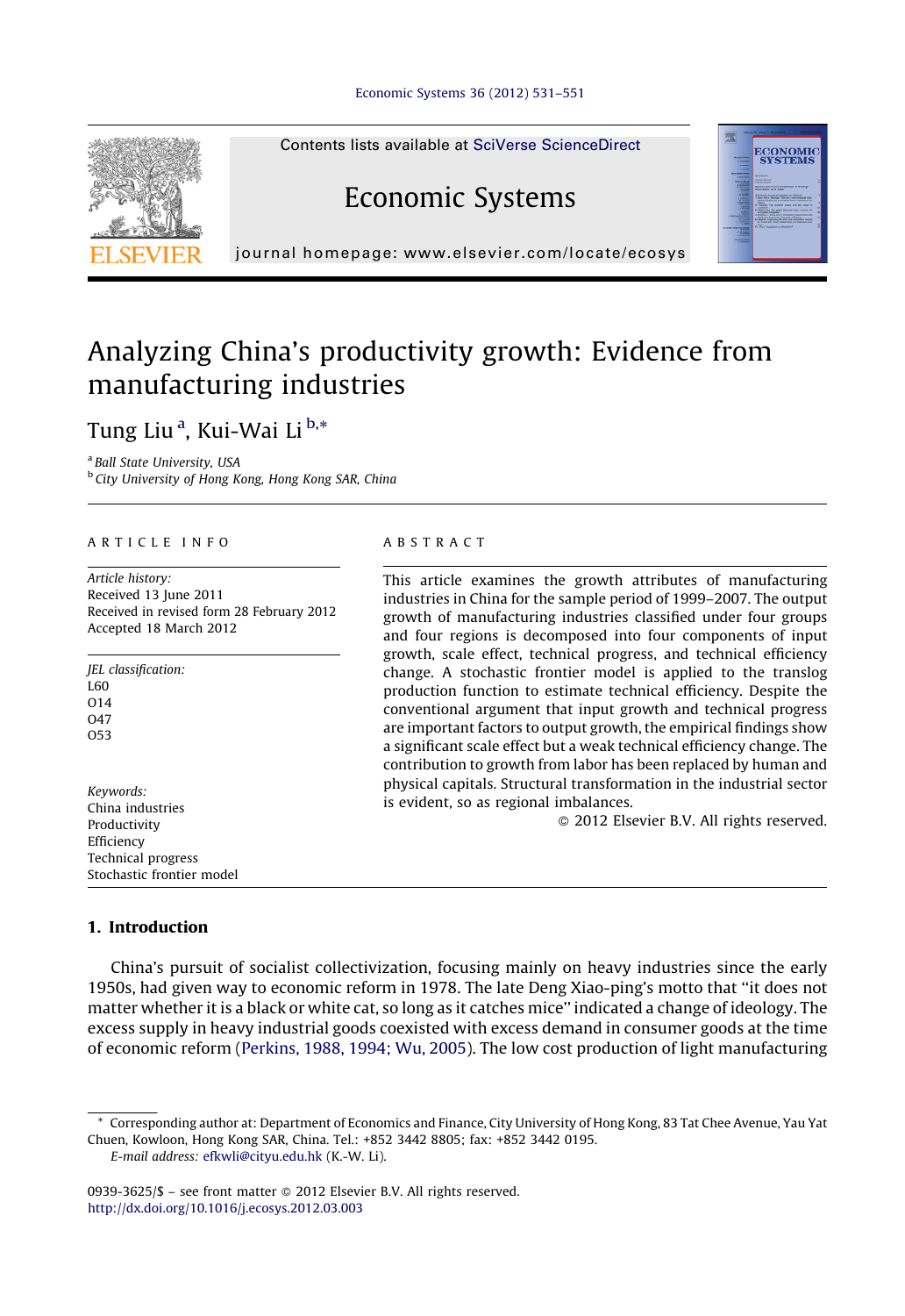

Contents lists available at SciVerse [ScienceDirect](http://www.sciencedirect.com/science/journal/09393625)

## Economic Systems

journal homepage: www.elsevier.com/locate/ecosys

# Analyzing China's productivity growth: Evidence from manufacturing industries

### Tung Liu<sup>a</sup>, Kui-Wai Li<sup>b,</sup>\*

<sup>a</sup> Ball State University, USA <sup>b</sup> City University of Hong Kong, Hong Kong SAR, China

#### A R T I C L E I N F O

Article history: Received 13 June 2011 Received in revised form 28 February 2012 Accepted 18 March 2012

JEL classification: L60 O14  $047$ O53

Keywords: China industries Productivity Efficiency Technical progress Stochastic frontier model

#### A B S T R A C T

This article examines the growth attributes of manufacturing industries in China for the sample period of 1999–2007. The output growth of manufacturing industries classified under four groups and four regions is decomposed into four components of input growth, scale effect, technical progress, and technical efficiency change. A stochastic frontier model is applied to the translog production function to estimate technical efficiency. Despite the conventional argument that input growth and technical progress are important factors to output growth, the empirical findings show a significant scale effect but a weak technical efficiency change. The contribution to growth from labor has been replaced by human and physical capitals. Structural transformation in the industrial sector is evident, so as regional imbalances.

- 2012 Elsevier B.V. All rights reserved.

**ECONOMIC** 

#### 1. Introduction

China's pursuit of socialist collectivization, focusing mainly on heavy industries since the early 1950s, had given way to economic reform in 1978. The late Deng Xiao-ping's motto that ''it does not matter whether it is a black or white cat, so long as it catches mice'' indicated a change of ideology. The excess supply in heavy industrial goods coexisted with excess demand in consumer goods at the time of economic reform ([Perkins,](#page--1-0) 1988, 1994; Wu, 2005). The low cost production of light manufacturing

<sup>\*</sup> Corresponding author at: Department of Economics and Finance, City University of Hong Kong, 83 Tat Chee Avenue, Yau Yat Chuen, Kowloon, Hong Kong SAR, China. Tel.: +852 3442 8805; fax: +852 3442 0195.

E-mail address: [efkwli@cityu.edu.hk](mailto:efkwli@cityu.edu.hk) (K.-W. Li).

<sup>0939-3625/\$ –</sup> see front matter © 2012 Elsevier B.V. All rights reserved. <http://dx.doi.org/10.1016/j.ecosys.2012.03.003>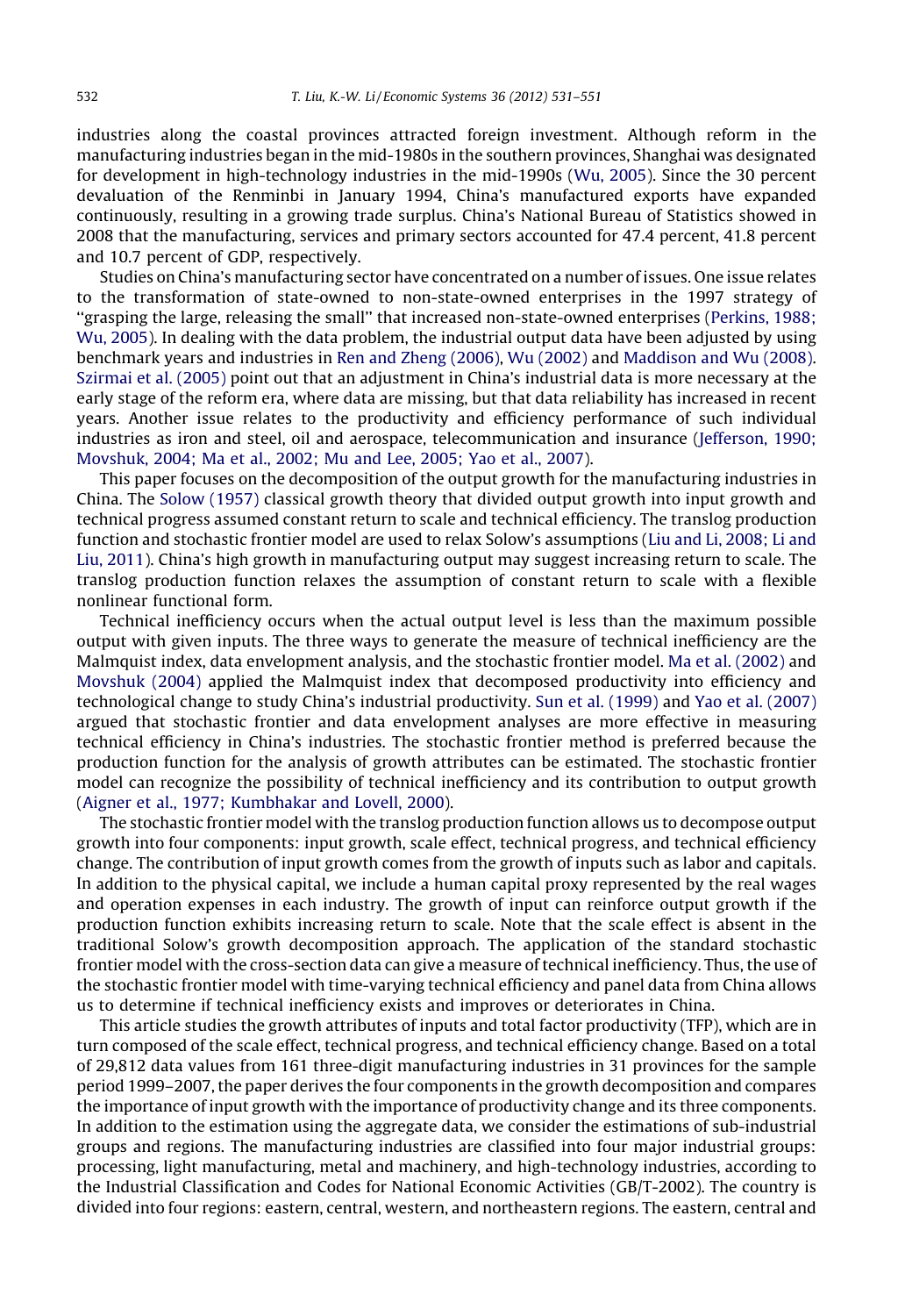industries along the coastal provinces attracted foreign investment. Although reform in the manufacturing industries began in the mid-1980s in the southern provinces, Shanghai was designated for development in high-technology industries in the mid-1990s (Wu, [2005](#page--1-0)). Since the 30 percent devaluation of the Renminbi in January 1994, China's manufactured exports have expanded continuously, resulting in a growing trade surplus. China's National Bureau of Statistics showed in 2008 that the manufacturing, services and primary sectors accounted for 47.4 percent, 41.8 percent and 10.7 percent of GDP, respectively.

Studies on China's manufacturing sector have concentrated on a number of issues. One issue relates to the transformation of state-owned to non-state-owned enterprises in the 1997 strategy of ''grasping the large, releasing the small'' that increased non-state-owned enterprises ([Perkins,](#page--1-0) 1988; Wu, [2005\)](#page--1-0). In dealing with the data problem, the industrial output data have been adjusted by using benchmark years and industries in Ren and Zheng [\(2006\)](#page--1-0), Wu [\(2002\)](#page--1-0) and [Maddison](#page--1-0) and Wu (2008). [Szirmai](#page--1-0) et al. (2005) point out that an adjustment in China's industrial data is more necessary at the early stage of the reform era, where data are missing, but that data reliability has increased in recent years. Another issue relates to the productivity and efficiency performance of such individual industries as iron and steel, oil and aerospace, telecommunication and insurance ([Jefferson,](#page--1-0) 1990; [Movshuk,](#page--1-0) 2004; Ma et al., 2002; Mu and Lee, 2005; Yao et al., 2007).

This paper focuses on the decomposition of the output growth for the manufacturing industries in China. The Solow [\(1957\)](#page--1-0) classical growth theory that divided output growth into input growth and technical progress assumed constant return to scale and technical efficiency. The translog production function and stochastic frontier model are used to relax Solow's assumptions (Liu and Li, [2008;](#page--1-0) Li and Liu, [2011\)](#page--1-0). China's high growth in manufacturing output may suggest increasing return to scale. The translog production function relaxes the assumption of constant return to scale with a flexible nonlinear functional form.

Technical inefficiency occurs when the actual output level is less than the maximum possible output with given inputs. The three ways to generate the measure of technical inefficiency are the Malmquist index, data envelopment analysis, and the stochastic frontier model. Ma et al. [\(2002\)](#page--1-0) and [Movshuk](#page--1-0) (2004) applied the Malmquist index that decomposed productivity into efficiency and technological change to study China's industrial productivity. Sun et al. [\(1999\)](#page--1-0) and Yao et al. [\(2007\)](#page--1-0) argued that stochastic frontier and data envelopment analyses are more effective in measuring technical efficiency in China's industries. The stochastic frontier method is preferred because the production function for the analysis of growth attributes can be estimated. The stochastic frontier model can recognize the possibility of technical inefficiency and its contribution to output growth (Aigner et al., 1977; [Kumbhakar](#page--1-0) and Lovell, 2000).

The stochastic frontier model with the translog production function allows us to decompose output growth into four components: input growth, scale effect, technical progress, and technical efficiency change. The contribution of input growth comes from the growth of inputs such as labor and capitals. In addition to the physical capital, we include a human capital proxy represented by the real wages and operation expenses in each industry. The growth of input can reinforce output growth if the production function exhibits increasing return to scale. Note that the scale effect is absent in the traditional Solow's growth decomposition approach. The application of the standard stochastic frontier model with the cross-section data can give a measure of technical inefficiency. Thus, the use of the stochastic frontier model with time-varying technical efficiency and panel data from China allows us to determine if technical inefficiency exists and improves or deteriorates in China.

This article studies the growth attributes of inputs and total factor productivity (TFP), which are in turn composed of the scale effect, technical progress, and technical efficiency change. Based on a total of 29,812 data values from 161 three-digit manufacturing industries in 31 provinces for the sample period 1999–2007,the paper derives the four components in the growth decomposition and compares the importance of input growth with the importance of productivity change and its three components. In addition to the estimation using the aggregate data, we consider the estimations of sub-industrial groups and regions. The manufacturing industries are classified into four major industrial groups: processing, light manufacturing, metal and machinery, and high-technology industries, according to the Industrial Classification and Codes for National Economic Activities (GB/T-2002). The country is divided into four regions: eastern, central, western, and northeastern regions. The eastern, central and